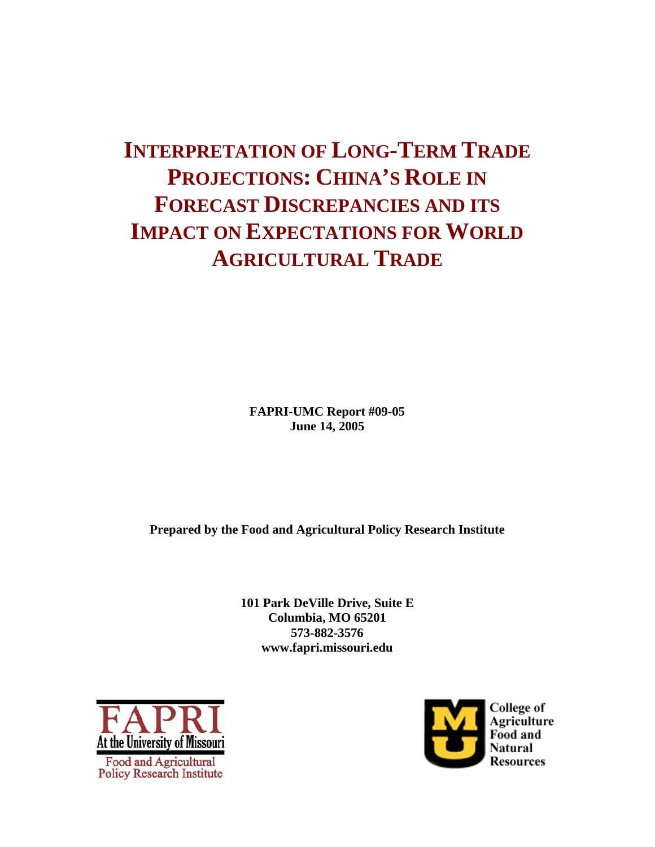# **INTERPRETATION OF LONG-TERM TRADE PROJECTIONS: CHINA'S ROLE IN FORECAST DISCREPANCIES AND ITS IMPACT ON EXPECTATIONS FOR WORLD AGRICULTURAL TRADE**

**FAPRI-UMC Report #09-05 June 14, 2005** 

**Prepared by the Food and Agricultural Policy Research Institute** 

**101 Park DeVille Drive, Suite E Columbia, MO 65201 573-882-3576 www.fapri.missouri.edu** 



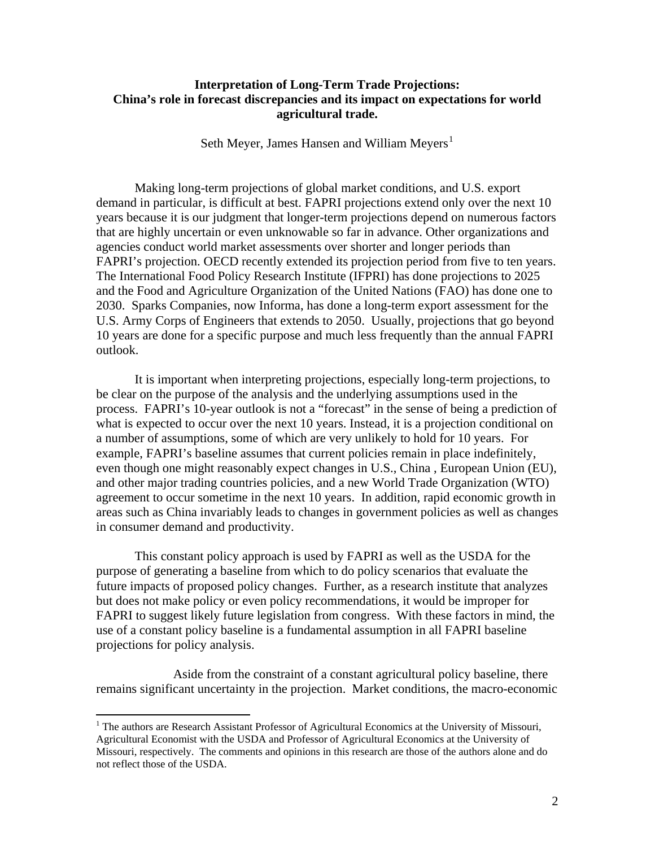# **Interpretation of Long-Term Trade Projections: China's role in forecast discrepancies and its impact on expectations for world agricultural trade.**

Seth Meyer, James Hansen and William Meyers<sup>[1](#page-1-0)</sup>

Making long-term projections of global market conditions, and U.S. export demand in particular, is difficult at best. FAPRI projections extend only over the next 10 years because it is our judgment that longer-term projections depend on numerous factors that are highly uncertain or even unknowable so far in advance. Other organizations and agencies conduct world market assessments over shorter and longer periods than FAPRI's projection. OECD recently extended its projection period from five to ten years. The International Food Policy Research Institute (IFPRI) has done projections to 2025 and the Food and Agriculture Organization of the United Nations (FAO) has done one to 2030. Sparks Companies, now Informa, has done a long-term export assessment for the U.S. Army Corps of Engineers that extends to 2050. Usually, projections that go beyond 10 years are done for a specific purpose and much less frequently than the annual FAPRI outlook.

 It is important when interpreting projections, especially long-term projections, to be clear on the purpose of the analysis and the underlying assumptions used in the process. FAPRI's 10-year outlook is not a "forecast" in the sense of being a prediction of what is expected to occur over the next 10 years. Instead, it is a projection conditional on a number of assumptions, some of which are very unlikely to hold for 10 years. For example, FAPRI's baseline assumes that current policies remain in place indefinitely, even though one might reasonably expect changes in U.S., China , European Union (EU), and other major trading countries policies, and a new World Trade Organization (WTO) agreement to occur sometime in the next 10 years. In addition, rapid economic growth in areas such as China invariably leads to changes in government policies as well as changes in consumer demand and productivity.

This constant policy approach is used by FAPRI as well as the USDA for the purpose of generating a baseline from which to do policy scenarios that evaluate the future impacts of proposed policy changes. Further, as a research institute that analyzes but does not make policy or even policy recommendations, it would be improper for FAPRI to suggest likely future legislation from congress. With these factors in mind, the use of a constant policy baseline is a fundamental assumption in all FAPRI baseline projections for policy analysis.

 Aside from the constraint of a constant agricultural policy baseline, there remains significant uncertainty in the projection. Market conditions, the macro-economic

 $\overline{a}$ 

<span id="page-1-0"></span><sup>&</sup>lt;sup>1</sup> The authors are Research Assistant Professor of Agricultural Economics at the University of Missouri, Agricultural Economist with the USDA and Professor of Agricultural Economics at the University of Missouri, respectively. The comments and opinions in this research are those of the authors alone and do not reflect those of the USDA.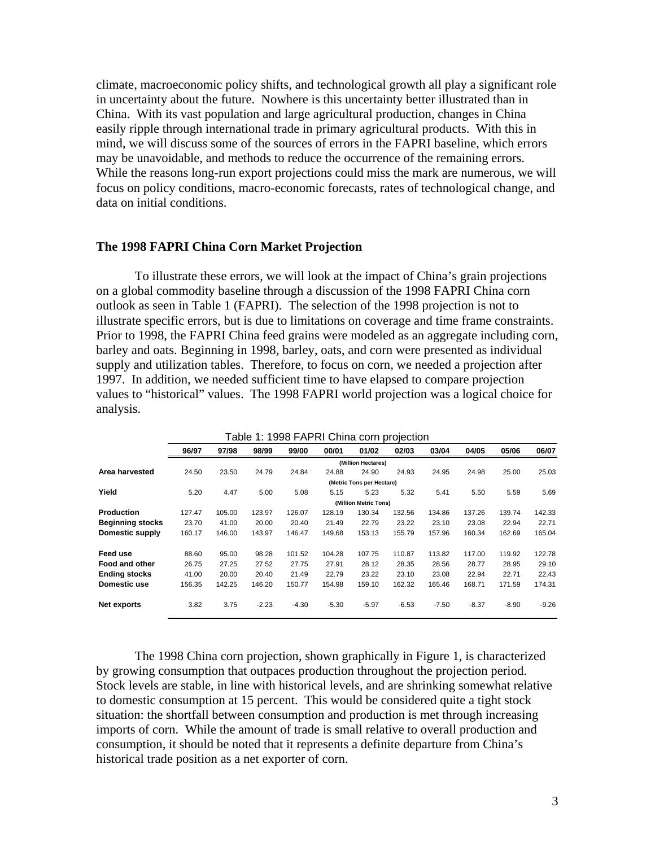climate, macroeconomic policy shifts, and technological growth all play a significant role in uncertainty about the future. Nowhere is this uncertainty better illustrated than in China. With its vast population and large agricultural production, changes in China easily ripple through international trade in primary agricultural products. With this in mind, we will discuss some of the sources of errors in the FAPRI baseline, which errors may be unavoidable, and methods to reduce the occurrence of the remaining errors. While the reasons long-run export projections could miss the mark are numerous, we will focus on policy conditions, macro-economic forecasts, rates of technological change, and data on initial conditions.

# **The 1998 FAPRI China Corn Market Projection**

 To illustrate these errors, we will look at the impact of China's grain projections on a global commodity baseline through a discussion of the 1998 FAPRI China corn outlook as seen in Table 1 (FAPRI). The selection of the 1998 projection is not to illustrate specific errors, but is due to limitations on coverage and time frame constraints. Prior to 1998, the FAPRI China feed grains were modeled as an aggregate including corn, barley and oats. Beginning in 1998, barley, oats, and corn were presented as individual supply and utilization tables. Therefore, to focus on corn, we needed a projection after 1997. In addition, we needed sufficient time to have elapsed to compare projection values to "historical" values. The 1998 FAPRI world projection was a logical choice for analysis.

|                         | able 1: 1998 FAPRI China corn projection |        |         |         |         |                           |         |         |         |         |         |
|-------------------------|------------------------------------------|--------|---------|---------|---------|---------------------------|---------|---------|---------|---------|---------|
|                         | 96/97                                    | 97/98  | 98/99   | 99/00   | 00/01   | 01/02                     | 02/03   | 03/04   | 04/05   | 05/06   | 06/07   |
|                         | (Million Hectares)                       |        |         |         |         |                           |         |         |         |         |         |
| Area harvested          | 24.50                                    | 23.50  | 24.79   | 24.84   | 24.88   | 24.90                     | 24.93   | 24.95   | 24.98   | 25.00   | 25.03   |
|                         |                                          |        |         |         |         | (Metric Tons per Hectare) |         |         |         |         |         |
| Yield                   | 5.20                                     | 4.47   | 5.00    | 5.08    | 5.15    | 5.23                      | 5.32    | 5.41    | 5.50    | 5.59    | 5.69    |
|                         |                                          |        |         |         |         | (Million Metric Tons)     |         |         |         |         |         |
| <b>Production</b>       | 127.47                                   | 105.00 | 123.97  | 126.07  | 128.19  | 130.34                    | 132.56  | 134.86  | 137.26  | 139.74  | 142.33  |
| <b>Beginning stocks</b> | 23.70                                    | 41.00  | 20.00   | 20.40   | 21.49   | 22.79                     | 23.22   | 23.10   | 23.08   | 22.94   | 22.71   |
| Domestic supply         | 160.17                                   | 146.00 | 143.97  | 146.47  | 149.68  | 153.13                    | 155.79  | 157.96  | 160.34  | 162.69  | 165.04  |
| Feed use                | 88.60                                    | 95.00  | 98.28   | 101.52  | 104.28  | 107.75                    | 110.87  | 113.82  | 117.00  | 119.92  | 122.78  |
| <b>Food and other</b>   | 26.75                                    | 27.25  | 27.52   | 27.75   | 27.91   | 28.12                     | 28.35   | 28.56   | 28.77   | 28.95   | 29.10   |
| <b>Ending stocks</b>    | 41.00                                    | 20.00  | 20.40   | 21.49   | 22.79   | 23.22                     | 23.10   | 23.08   | 22.94   | 22.71   | 22.43   |
| Domestic use            | 156.35                                   | 142.25 | 146.20  | 150.77  | 154.98  | 159.10                    | 162.32  | 165.46  | 168.71  | 171.59  | 174.31  |
| Net exports             | 3.82                                     | 3.75   | $-2.23$ | $-4.30$ | $-5.30$ | $-5.97$                   | $-6.53$ | $-7.50$ | $-8.37$ | $-8.90$ | $-9.26$ |

| Table 1: 1998 FAPRI China corn projection |  |  |
|-------------------------------------------|--|--|
|-------------------------------------------|--|--|

The 1998 China corn projection, shown graphically in Figure 1, is characterized by growing consumption that outpaces production throughout the projection period. Stock levels are stable, in line with historical levels, and are shrinking somewhat relative to domestic consumption at 15 percent. This would be considered quite a tight stock situation: the shortfall between consumption and production is met through increasing imports of corn. While the amount of trade is small relative to overall production and consumption, it should be noted that it represents a definite departure from China's historical trade position as a net exporter of corn.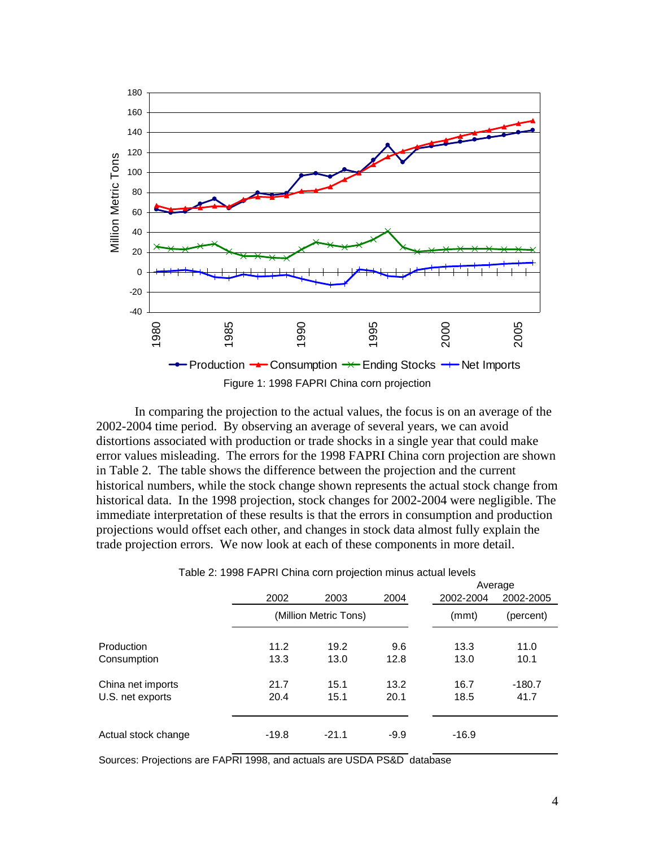

 In comparing the projection to the actual values, the focus is on an average of the 2002-2004 time period. By observing an average of several years, we can avoid distortions associated with production or trade shocks in a single year that could make error values misleading. The errors for the 1998 FAPRI China corn projection are shown in Table 2. The table shows the difference between the projection and the current historical numbers, while the stock change shown represents the actual stock change from historical data. In the 1998 projection, stock changes for 2002-2004 were negligible. The immediate interpretation of these results is that the errors in consumption and production projections would offset each other, and changes in stock data almost fully explain the trade projection errors. We now look at each of these components in more detail.

|                     |         |                       |        |           | Average   |  |  |
|---------------------|---------|-----------------------|--------|-----------|-----------|--|--|
|                     | 2002    | 2003                  | 2004   | 2002-2004 | 2002-2005 |  |  |
|                     |         | (Million Metric Tons) |        | (mmt)     | (percent) |  |  |
| Production          | 11.2    | 19.2                  | 9.6    | 13.3      | 11.0      |  |  |
| Consumption         | 13.3    | 13.0                  | 12.8   | 13.0      | 10.1      |  |  |
| China net imports   | 21.7    | 15.1                  | 13.2   | 16.7      | $-180.7$  |  |  |
| U.S. net exports    | 20.4    | 15.1                  | 20.1   | 18.5      | 41.7      |  |  |
| Actual stock change | $-19.8$ | $-21.1$               | $-9.9$ | $-16.9$   |           |  |  |
|                     |         |                       |        |           |           |  |  |

| Table 2: 1998 FAPRI China corn projection minus actual levels |  |  |  |
|---------------------------------------------------------------|--|--|--|
|                                                               |  |  |  |

Sources: Projections are FAPRI 1998, and actuals are USDA PS&D database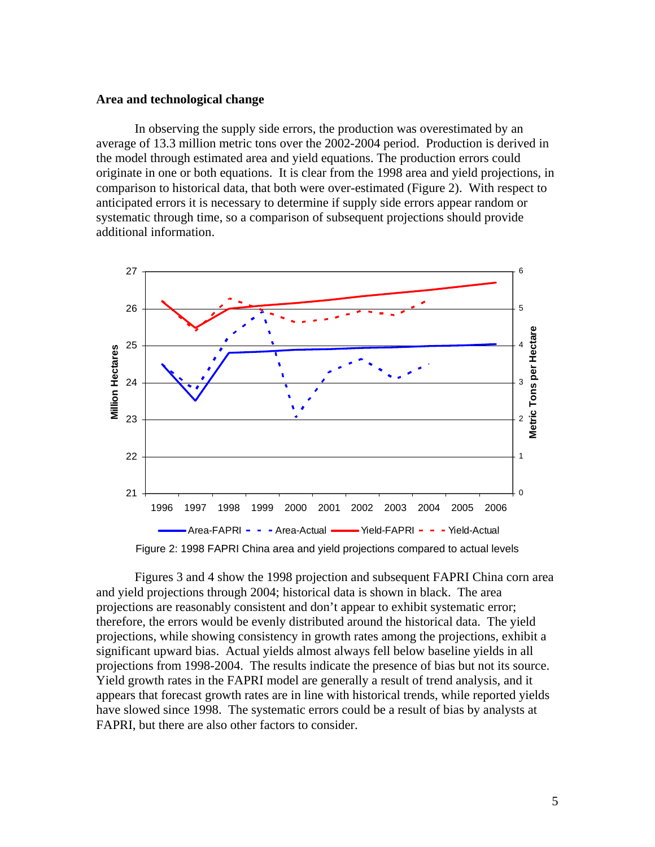## **Area and technological change**

 In observing the supply side errors, the production was overestimated by an average of 13.3 million metric tons over the 2002-2004 period. Production is derived in the model through estimated area and yield equations. The production errors could originate in one or both equations. It is clear from the 1998 area and yield projections, in comparison to historical data, that both were over-estimated (Figure 2). With respect to anticipated errors it is necessary to determine if supply side errors appear random or systematic through time, so a comparison of subsequent projections should provide additional information.



Figure 2: 1998 FAPRI China area and yield projections compared to actual levels

Figures 3 and 4 show the 1998 projection and subsequent FAPRI China corn area and yield projections through 2004; historical data is shown in black. The area projections are reasonably consistent and don't appear to exhibit systematic error; therefore, the errors would be evenly distributed around the historical data. The yield projections, while showing consistency in growth rates among the projections, exhibit a significant upward bias. Actual yields almost always fell below baseline yields in all projections from 1998-2004. The results indicate the presence of bias but not its source. Yield growth rates in the FAPRI model are generally a result of trend analysis, and it appears that forecast growth rates are in line with historical trends, while reported yields have slowed since 1998. The systematic errors could be a result of bias by analysts at FAPRI, but there are also other factors to consider.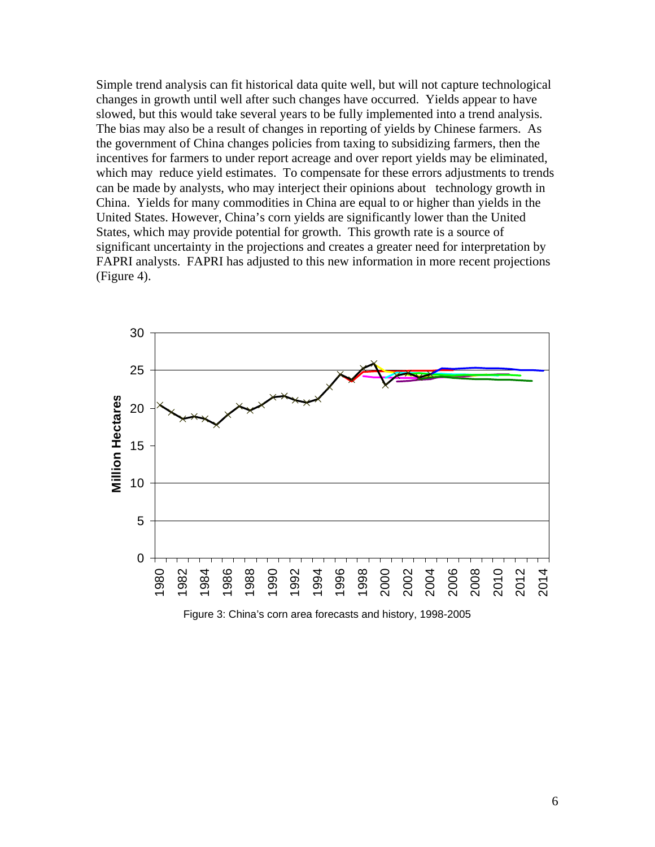Simple trend analysis can fit historical data quite well, but will not capture technological changes in growth until well after such changes have occurred. Yields appear to have slowed, but this would take several years to be fully implemented into a trend analysis. The bias may also be a result of changes in reporting of yields by Chinese farmers. As the government of China changes policies from taxing to subsidizing farmers, then the incentives for farmers to under report acreage and over report yields may be eliminated, which may reduce yield estimates. To compensate for these errors adjustments to trends can be made by analysts, who may interject their opinions about technology growth in China. Yields for many commodities in China are equal to or higher than yields in the United States. However, China's corn yields are significantly lower than the United States, which may provide potential for growth. This growth rate is a source of significant uncertainty in the projections and creates a greater need for interpretation by FAPRI analysts. FAPRI has adjusted to this new information in more recent projections (Figure 4).



Figure 3: China's corn area forecasts and history, 1998-2005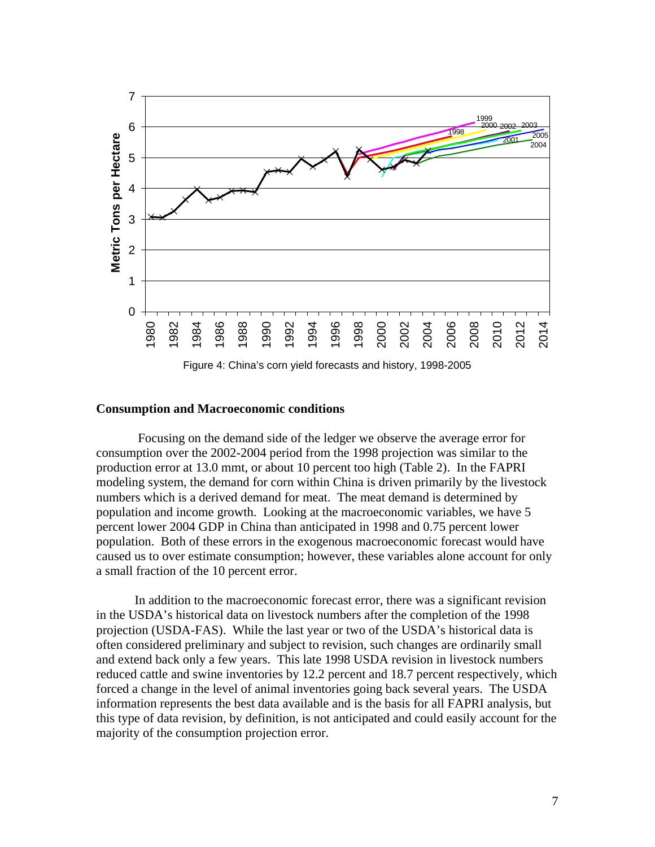

Figure 4: China's corn yield forecasts and history, 1998-2005

## **Consumption and Macroeconomic conditions**

 Focusing on the demand side of the ledger we observe the average error for consumption over the 2002-2004 period from the 1998 projection was similar to the production error at 13.0 mmt, or about 10 percent too high (Table 2). In the FAPRI modeling system, the demand for corn within China is driven primarily by the livestock numbers which is a derived demand for meat. The meat demand is determined by population and income growth. Looking at the macroeconomic variables, we have 5 percent lower 2004 GDP in China than anticipated in 1998 and 0.75 percent lower population. Both of these errors in the exogenous macroeconomic forecast would have caused us to over estimate consumption; however, these variables alone account for only a small fraction of the 10 percent error.

 In addition to the macroeconomic forecast error, there was a significant revision in the USDA's historical data on livestock numbers after the completion of the 1998 projection (USDA-FAS). While the last year or two of the USDA's historical data is often considered preliminary and subject to revision, such changes are ordinarily small and extend back only a few years. This late 1998 USDA revision in livestock numbers reduced cattle and swine inventories by 12.2 percent and 18.7 percent respectively, which forced a change in the level of animal inventories going back several years. The USDA information represents the best data available and is the basis for all FAPRI analysis, but this type of data revision, by definition, is not anticipated and could easily account for the majority of the consumption projection error.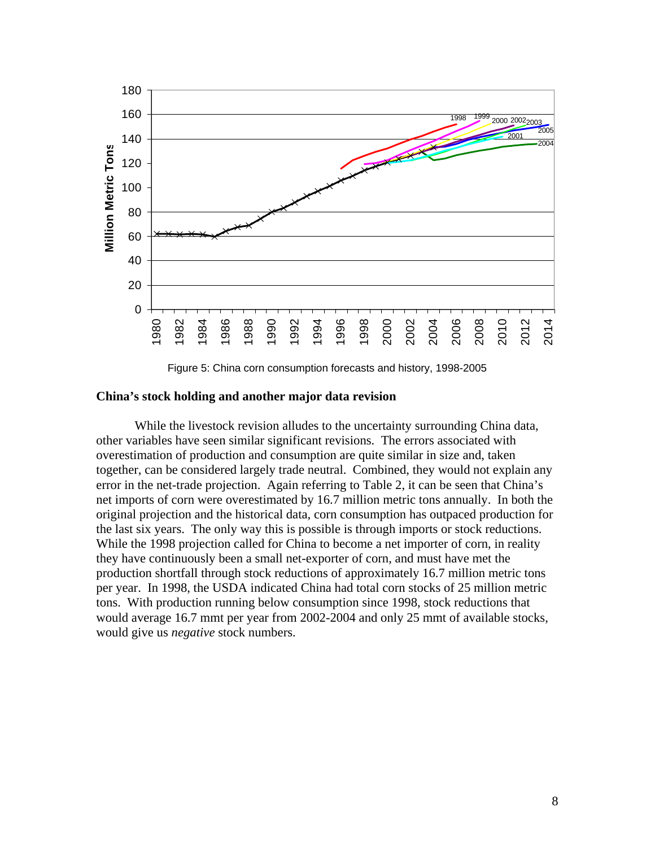

Figure 5: China corn consumption forecasts and history, 1998-2005

## **China's stock holding and another major data revision**

 While the livestock revision alludes to the uncertainty surrounding China data, other variables have seen similar significant revisions. The errors associated with overestimation of production and consumption are quite similar in size and, taken together, can be considered largely trade neutral. Combined, they would not explain any error in the net-trade projection. Again referring to Table 2, it can be seen that China's net imports of corn were overestimated by 16.7 million metric tons annually. In both the original projection and the historical data, corn consumption has outpaced production for the last six years. The only way this is possible is through imports or stock reductions. While the 1998 projection called for China to become a net importer of corn, in reality they have continuously been a small net-exporter of corn, and must have met the production shortfall through stock reductions of approximately 16.7 million metric tons per year. In 1998, the USDA indicated China had total corn stocks of 25 million metric tons. With production running below consumption since 1998, stock reductions that would average 16.7 mmt per year from 2002-2004 and only 25 mmt of available stocks, would give us *negative* stock numbers.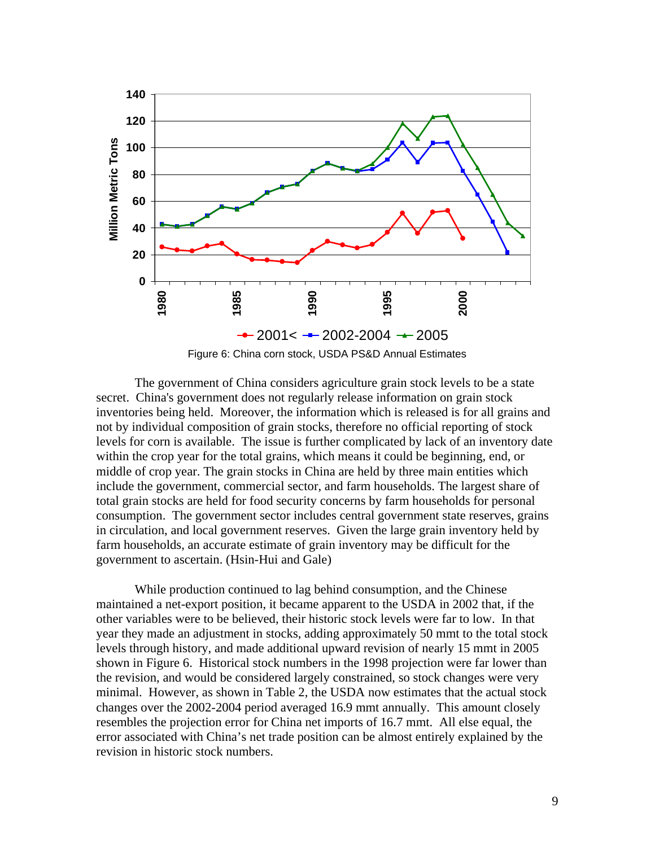

 The government of China considers agriculture grain stock levels to be a state secret. China's government does not regularly release information on grain stock inventories being held. Moreover, the information which is released is for all grains and not by individual composition of grain stocks, therefore no official reporting of stock levels for corn is available. The issue is further complicated by lack of an inventory date within the crop year for the total grains, which means it could be beginning, end, or middle of crop year. The grain stocks in China are held by three main entities which include the government, commercial sector, and farm households. The largest share of total grain stocks are held for food security concerns by farm households for personal consumption. The government sector includes central government state reserves, grains in circulation, and local government reserves. Given the large grain inventory held by farm households, an accurate estimate of grain inventory may be difficult for the

government to ascertain. (Hsin-Hui and Gale)

While production continued to lag behind consumption, and the Chinese maintained a net-export position, it became apparent to the USDA in 2002 that, if the other variables were to be believed, their historic stock levels were far to low. In that year they made an adjustment in stocks, adding approximately 50 mmt to the total stock levels through history, and made additional upward revision of nearly 15 mmt in 2005 shown in Figure 6. Historical stock numbers in the 1998 projection were far lower than the revision, and would be considered largely constrained, so stock changes were very minimal. However, as shown in Table 2, the USDA now estimates that the actual stock changes over the 2002-2004 period averaged 16.9 mmt annually. This amount closely resembles the projection error for China net imports of 16.7 mmt. All else equal, the error associated with China's net trade position can be almost entirely explained by the revision in historic stock numbers.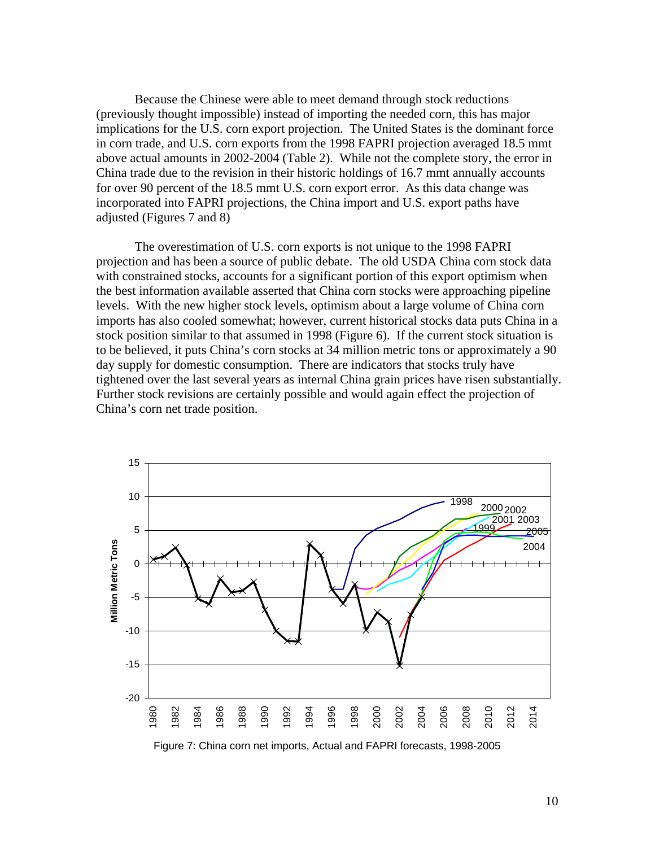Because the Chinese were able to meet demand through stock reductions (previously thought impossible) instead of importing the needed corn, this has major implications for the U.S. corn export projection. The United States is the dominant force in corn trade, and U.S. corn exports from the 1998 FAPRI projection averaged 18.5 mmt above actual amounts in 2002-2004 (Table 2). While not the complete story, the error in China trade due to the revision in their historic holdings of 16.7 mmt annually accounts for over 90 percent of the 18.5 mmt U.S. corn export error. As this data change was incorporated into FAPRI projections, the China import and U.S. export paths have adjusted (Figures 7 and 8)

 The overestimation of U.S. corn exports is not unique to the 1998 FAPRI projection and has been a source of public debate. The old USDA China corn stock data with constrained stocks, accounts for a significant portion of this export optimism when the best information available asserted that China corn stocks were approaching pipeline levels. With the new higher stock levels, optimism about a large volume of China corn imports has also cooled somewhat; however, current historical stocks data puts China in a stock position similar to that assumed in 1998 (Figure 6). If the current stock situation is to be believed, it puts China's corn stocks at 34 million metric tons or approximately a 90 day supply for domestic consumption. There are indicators that stocks truly have tightened over the last several years as internal China grain prices have risen substantially. Further stock revisions are certainly possible and would again effect the projection of China's corn net trade position.

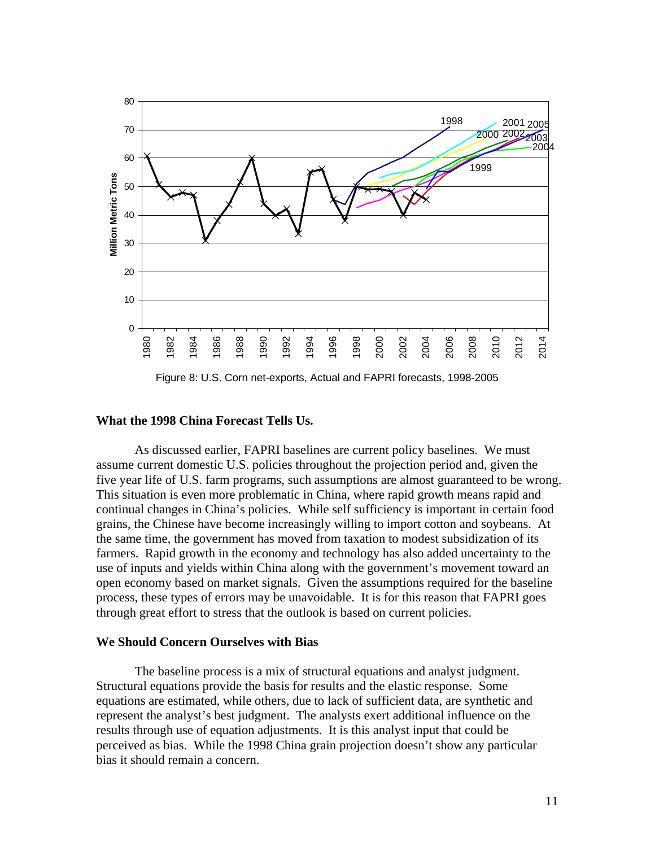

Figure 8: U.S. Corn net-exports, Actual and FAPRI forecasts, 1998-2005

# **What the 1998 China Forecast Tells Us.**

As discussed earlier, FAPRI baselines are current policy baselines. We must assume current domestic U.S. policies throughout the projection period and, given the five year life of U.S. farm programs, such assumptions are almost guaranteed to be wrong. This situation is even more problematic in China, where rapid growth means rapid and continual changes in China's policies. While self sufficiency is important in certain food grains, the Chinese have become increasingly willing to import cotton and soybeans. At the same time, the government has moved from taxation to modest subsidization of its farmers. Rapid growth in the economy and technology has also added uncertainty to the use of inputs and yields within China along with the government's movement toward an open economy based on market signals. Given the assumptions required for the baseline process, these types of errors may be unavoidable. It is for this reason that FAPRI goes through great effort to stress that the outlook is based on current policies.

# **We Should Concern Ourselves with Bias**

 The baseline process is a mix of structural equations and analyst judgment. Structural equations provide the basis for results and the elastic response. Some equations are estimated, while others, due to lack of sufficient data, are synthetic and represent the analyst's best judgment. The analysts exert additional influence on the results through use of equation adjustments. It is this analyst input that could be perceived as bias. While the 1998 China grain projection doesn't show any particular bias it should remain a concern.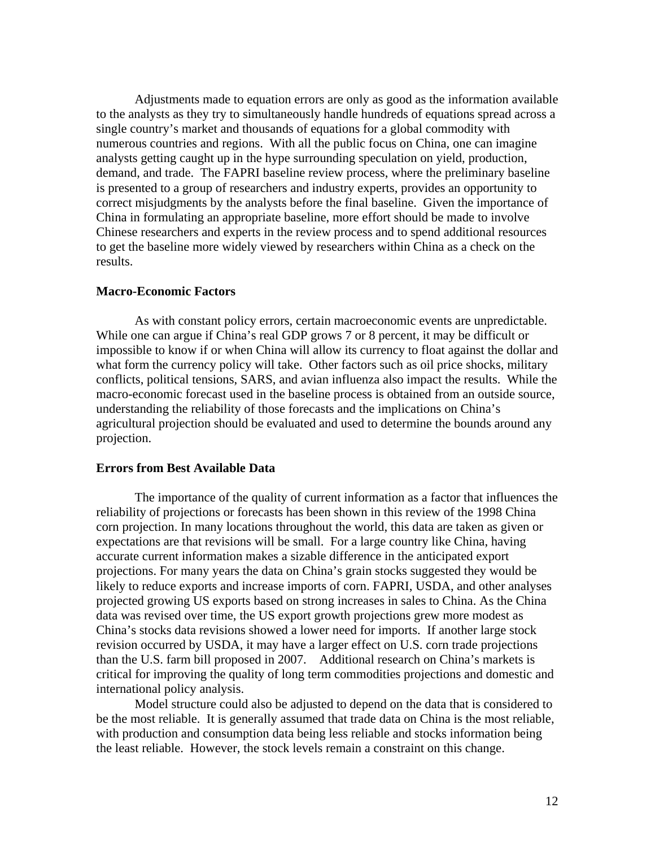Adjustments made to equation errors are only as good as the information available to the analysts as they try to simultaneously handle hundreds of equations spread across a single country's market and thousands of equations for a global commodity with numerous countries and regions. With all the public focus on China, one can imagine analysts getting caught up in the hype surrounding speculation on yield, production, demand, and trade. The FAPRI baseline review process, where the preliminary baseline is presented to a group of researchers and industry experts, provides an opportunity to correct misjudgments by the analysts before the final baseline. Given the importance of China in formulating an appropriate baseline, more effort should be made to involve Chinese researchers and experts in the review process and to spend additional resources to get the baseline more widely viewed by researchers within China as a check on the results.

## **Macro-Economic Factors**

 As with constant policy errors, certain macroeconomic events are unpredictable. While one can argue if China's real GDP grows 7 or 8 percent, it may be difficult or impossible to know if or when China will allow its currency to float against the dollar and what form the currency policy will take. Other factors such as oil price shocks, military conflicts, political tensions, SARS, and avian influenza also impact the results. While the macro-economic forecast used in the baseline process is obtained from an outside source, understanding the reliability of those forecasts and the implications on China's agricultural projection should be evaluated and used to determine the bounds around any projection.

## **Errors from Best Available Data**

 The importance of the quality of current information as a factor that influences the reliability of projections or forecasts has been shown in this review of the 1998 China corn projection. In many locations throughout the world, this data are taken as given or expectations are that revisions will be small. For a large country like China, having accurate current information makes a sizable difference in the anticipated export projections. For many years the data on China's grain stocks suggested they would be likely to reduce exports and increase imports of corn. FAPRI, USDA, and other analyses projected growing US exports based on strong increases in sales to China. As the China data was revised over time, the US export growth projections grew more modest as China's stocks data revisions showed a lower need for imports. If another large stock revision occurred by USDA, it may have a larger effect on U.S. corn trade projections than the U.S. farm bill proposed in 2007.Additional research on China's markets is critical for improving the quality of long term commodities projections and domestic and international policy analysis.

 Model structure could also be adjusted to depend on the data that is considered to be the most reliable. It is generally assumed that trade data on China is the most reliable, with production and consumption data being less reliable and stocks information being the least reliable. However, the stock levels remain a constraint on this change.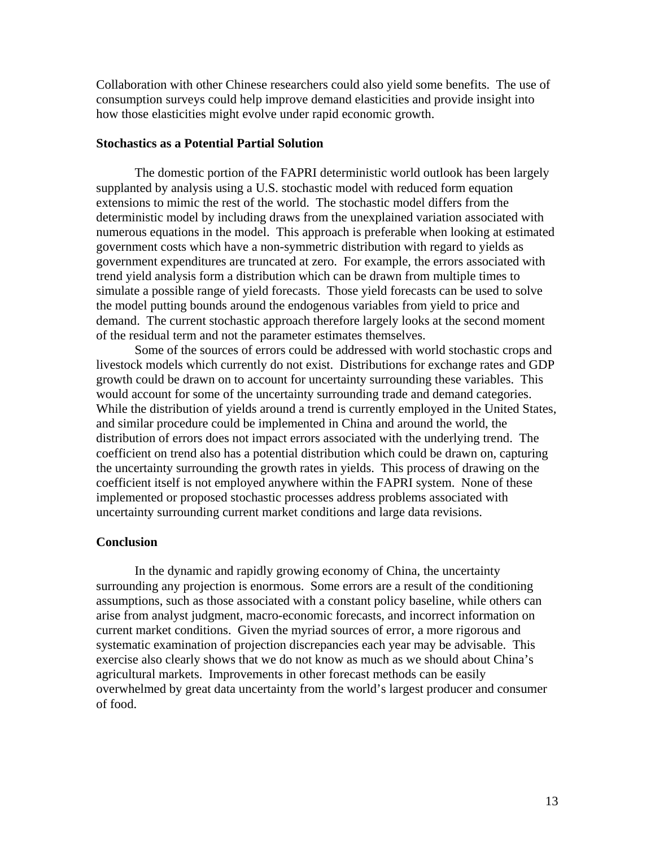Collaboration with other Chinese researchers could also yield some benefits. The use of consumption surveys could help improve demand elasticities and provide insight into how those elasticities might evolve under rapid economic growth.

# **Stochastics as a Potential Partial Solution**

 The domestic portion of the FAPRI deterministic world outlook has been largely supplanted by analysis using a U.S. stochastic model with reduced form equation extensions to mimic the rest of the world. The stochastic model differs from the deterministic model by including draws from the unexplained variation associated with numerous equations in the model. This approach is preferable when looking at estimated government costs which have a non-symmetric distribution with regard to yields as government expenditures are truncated at zero. For example, the errors associated with trend yield analysis form a distribution which can be drawn from multiple times to simulate a possible range of yield forecasts. Those yield forecasts can be used to solve the model putting bounds around the endogenous variables from yield to price and demand. The current stochastic approach therefore largely looks at the second moment of the residual term and not the parameter estimates themselves.

 Some of the sources of errors could be addressed with world stochastic crops and livestock models which currently do not exist. Distributions for exchange rates and GDP growth could be drawn on to account for uncertainty surrounding these variables. This would account for some of the uncertainty surrounding trade and demand categories. While the distribution of yields around a trend is currently employed in the United States, and similar procedure could be implemented in China and around the world, the distribution of errors does not impact errors associated with the underlying trend. The coefficient on trend also has a potential distribution which could be drawn on, capturing the uncertainty surrounding the growth rates in yields. This process of drawing on the coefficient itself is not employed anywhere within the FAPRI system. None of these implemented or proposed stochastic processes address problems associated with uncertainty surrounding current market conditions and large data revisions.

# **Conclusion**

 In the dynamic and rapidly growing economy of China, the uncertainty surrounding any projection is enormous. Some errors are a result of the conditioning assumptions, such as those associated with a constant policy baseline, while others can arise from analyst judgment, macro-economic forecasts, and incorrect information on current market conditions. Given the myriad sources of error, a more rigorous and systematic examination of projection discrepancies each year may be advisable. This exercise also clearly shows that we do not know as much as we should about China's agricultural markets. Improvements in other forecast methods can be easily overwhelmed by great data uncertainty from the world's largest producer and consumer of food.